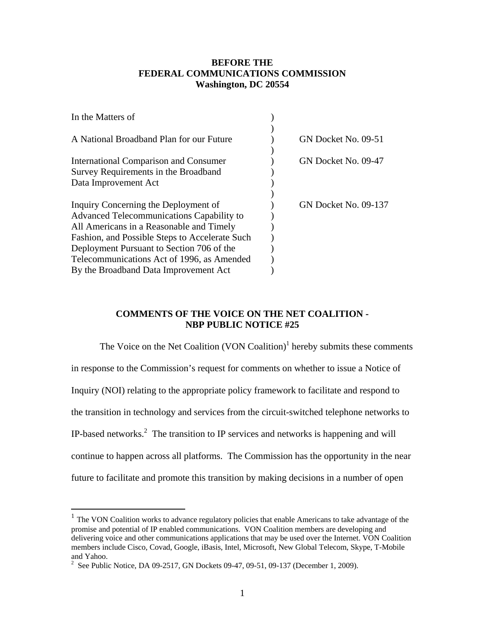## **BEFORE THE FEDERAL COMMUNICATIONS COMMISSION Washington, DC 20554**

| In the Matters of                                |                             |
|--------------------------------------------------|-----------------------------|
|                                                  |                             |
| A National Broadband Plan for our Future         | GN Docket No. 09-51         |
|                                                  |                             |
| <b>International Comparison and Consumer</b>     | GN Docket No. 09-47         |
| Survey Requirements in the Broadband             |                             |
| Data Improvement Act                             |                             |
|                                                  |                             |
| Inquiry Concerning the Deployment of             | <b>GN Docket No. 09-137</b> |
| <b>Advanced Telecommunications Capability to</b> |                             |
| All Americans in a Reasonable and Timely         |                             |
| Fashion, and Possible Steps to Accelerate Such   |                             |
| Deployment Pursuant to Section 706 of the        |                             |
| Telecommunications Act of 1996, as Amended       |                             |
| By the Broadband Data Improvement Act            |                             |
|                                                  |                             |

## **COMMENTS OF THE VOICE ON THE NET COALITION - NBP PUBLIC NOTICE #25**

The Voice on the Net Coalition  $(VON$  Coalition)<sup>1</sup> hereby submits these comments in response to the Commission's request for comments on whether to issue a Notice of Inquiry (NOI) relating to the appropriate policy framework to facilitate and respond to the transition in technology and services from the circuit-switched telephone networks to IP-based networks. $2$  The transition to IP services and networks is happening and will continue to happen across all platforms. The Commission has the opportunity in the near future to facilitate and promote this transition by making decisions in a number of open

 $1$  The VON Coalition works to advance regulatory policies that enable Americans to take advantage of the promise and potential of IP enabled communications. VON Coalition members are developing and delivering voice and other communications applications that may be used over the Internet. VON Coalition members include Cisco, Covad, Google, iBasis, Intel, Microsoft, New Global Telecom, Skype, T-Mobile and Yahoo.

<sup>&</sup>lt;sup>2</sup> See Public Notice, DA 09-2517, GN Dockets 09-47, 09-51, 09-137 (December 1, 2009).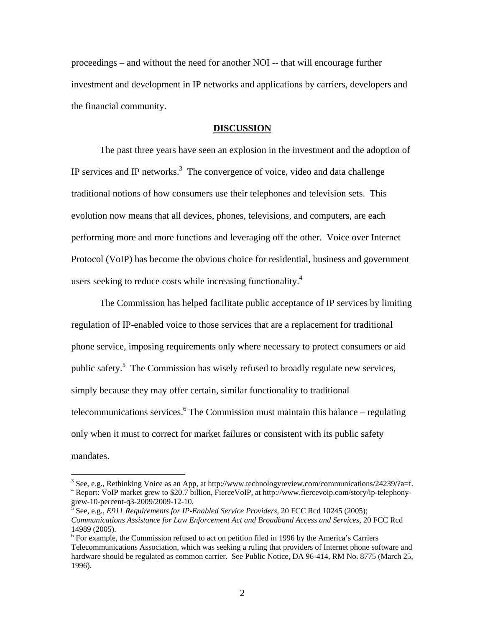proceedings – and without the need for another NOI -- that will encourage further investment and development in IP networks and applications by carriers, developers and the financial community.

#### **DISCUSSION**

 The past three years have seen an explosion in the investment and the adoption of IP services and IP networks. $3$  The convergence of voice, video and data challenge traditional notions of how consumers use their telephones and television sets. This evolution now means that all devices, phones, televisions, and computers, are each performing more and more functions and leveraging off the other. Voice over Internet Protocol (VoIP) has become the obvious choice for residential, business and government users seeking to reduce costs while increasing functionality.<sup>4</sup>

 The Commission has helped facilitate public acceptance of IP services by limiting regulation of IP-enabled voice to those services that are a replacement for traditional phone service, imposing requirements only where necessary to protect consumers or aid public safety.<sup>5</sup> The Commission has wisely refused to broadly regulate new services, simply because they may offer certain, similar functionality to traditional telecommunications services. <sup>6</sup> The Commission must maintain this balance – regulating only when it must to correct for market failures or consistent with its public safety mandates.

<sup>&</sup>lt;sup>3</sup> See, e.g., Rethinking Voice as an App, at http://www.technologyreview.com/communications/24239/?a=f.<br><sup>4</sup> Benert: VeIB merket grou to \$20.7 billion. FiergeVeIB, at http://www.fiergevein.com/sterv/in telephony. Report: VoIP market grew to \$20.7 billion, FierceVoIP, at http://www.fiercevoip.com/story/ip-telephony-

grew-10-percent-q3-2009/2009-12-10. See, e.g., *E911 Requirements for IP-Enabled Service Providers*, 20 FCC Rcd 10245 (2005); *Communications Assistance for Law Enforcement Act and Broadband Access and Services*, 20 FCC Rcd 14989 (2005).

 $6$  For example, the Commission refused to act on petition filed in 1996 by the America's Carriers Telecommunications Association, which was seeking a ruling that providers of Internet phone software and hardware should be regulated as common carrier. See Public Notice, DA 96-414, RM No. 8775 (March 25, 1996).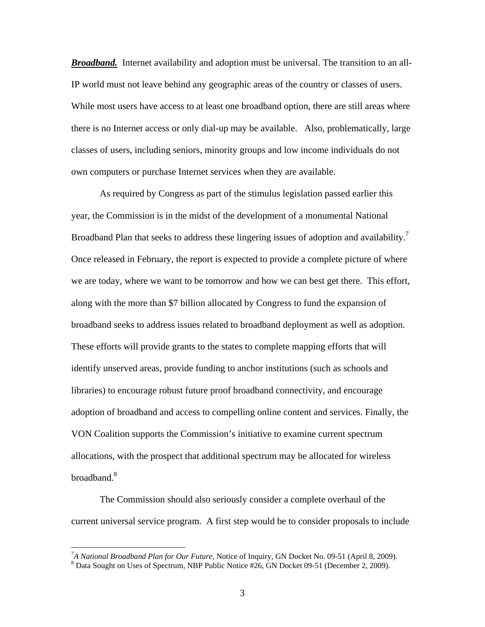*Broadband.* Internet availability and adoption must be universal. The transition to an all-IP world must not leave behind any geographic areas of the country or classes of users. While most users have access to at least one broadband option, there are still areas where there is no Internet access or only dial-up may be available. Also, problematically, large classes of users, including seniors, minority groups and low income individuals do not own computers or purchase Internet services when they are available.

 As required by Congress as part of the stimulus legislation passed earlier this year, the Commission is in the midst of the development of a monumental National Broadband Plan that seeks to address these lingering issues of adoption and availability.<sup>7</sup> Once released in February, the report is expected to provide a complete picture of where we are today, where we want to be tomorrow and how we can best get there. This effort, along with the more than \$7 billion allocated by Congress to fund the expansion of broadband seeks to address issues related to broadband deployment as well as adoption. These efforts will provide grants to the states to complete mapping efforts that will identify unserved areas, provide funding to anchor institutions (such as schools and libraries) to encourage robust future proof broadband connectivity, and encourage adoption of broadband and access to compelling online content and services. Finally, the VON Coalition supports the Commission's initiative to examine current spectrum allocations, with the prospect that additional spectrum may be allocated for wireless broadband.8

 The Commission should also seriously consider a complete overhaul of the current universal service program. A first step would be to consider proposals to include

<sup>&</sup>lt;sup>7</sup>A National Broadband Plan for Our Future, Notice of Inquiry, GN Docket No. 09-51 (April 8, 2009).<br><sup>8</sup> Data Sought on Uses of Spectrum, NBB Public Notice #26, GN Docket 00, 51 (Desember 2, 2000).

<sup>&</sup>lt;sup>8</sup> Data Sought on Uses of Spectrum, NBP Public Notice #26, GN Docket 09-51 (December 2, 2009).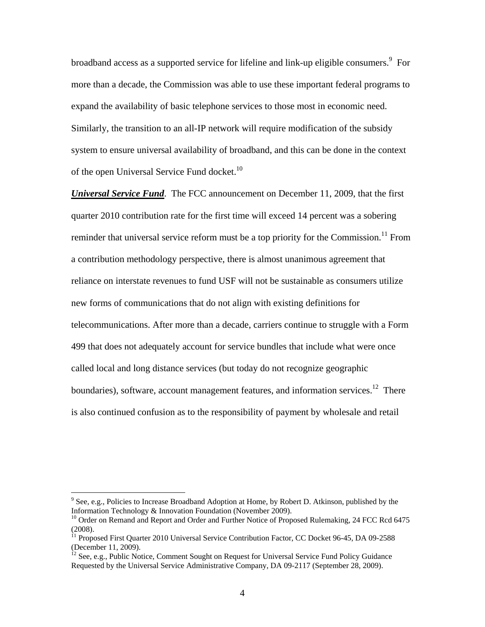broadband access as a supported service for lifeline and link-up eligible consumers.<sup>9</sup> For more than a decade, the Commission was able to use these important federal programs to expand the availability of basic telephone services to those most in economic need. Similarly, the transition to an all-IP network will require modification of the subsidy system to ensure universal availability of broadband, and this can be done in the context of the open Universal Service Fund docket.<sup>10</sup>

*Universal Service Fund*. The FCC announcement on December 11, 2009, that the first quarter 2010 contribution rate for the first time will exceed 14 percent was a sobering reminder that universal service reform must be a top priority for the Commission.<sup>11</sup> From a contribution methodology perspective, there is almost unanimous agreement that reliance on interstate revenues to fund USF will not be sustainable as consumers utilize new forms of communications that do not align with existing definitions for telecommunications. After more than a decade, carriers continue to struggle with a Form 499 that does not adequately account for service bundles that include what were once called local and long distance services (but today do not recognize geographic boundaries), software, account management features, and information services.<sup>12</sup> There is also continued confusion as to the responsibility of payment by wholesale and retail

<sup>&</sup>lt;sup>9</sup> See, e.g., Policies to Increase Broadband Adoption at Home, by Robert D. Atkinson, published by the Information Technology & Innovation Foundation (November 2009).

 $10$  Order on Remand and Report and Order and Further Notice of Proposed Rulemaking, 24 FCC Rcd 6475 (2008).

 $11$  Proposed First Quarter 2010 Universal Service Contribution Factor, CC Docket 96-45, DA 09-2588 (December 11, 2009).

<sup>&</sup>lt;sup>12</sup> See, e.g., Public Notice, Comment Sought on Request for Universal Service Fund Policy Guidance Requested by the Universal Service Administrative Company, DA 09-2117 (September 28, 2009).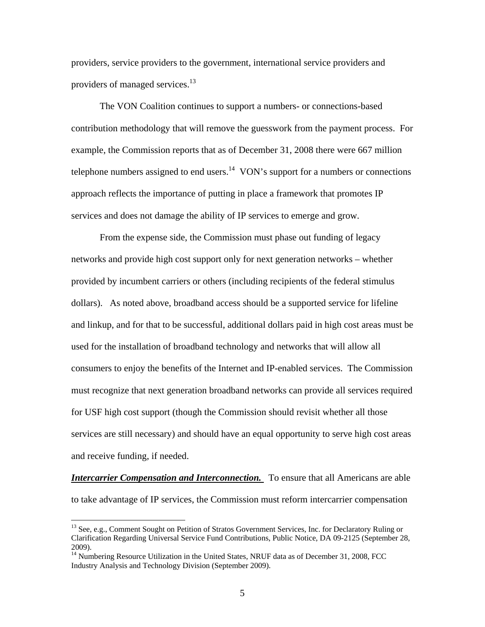providers, service providers to the government, international service providers and providers of managed services.<sup>13</sup>

 The VON Coalition continues to support a numbers- or connections-based contribution methodology that will remove the guesswork from the payment process. For example, the Commission reports that as of December 31, 2008 there were 667 million telephone numbers assigned to end users.<sup>14</sup> VON's support for a numbers or connections approach reflects the importance of putting in place a framework that promotes IP services and does not damage the ability of IP services to emerge and grow.

 From the expense side, the Commission must phase out funding of legacy networks and provide high cost support only for next generation networks – whether provided by incumbent carriers or others (including recipients of the federal stimulus dollars). As noted above, broadband access should be a supported service for lifeline and linkup, and for that to be successful, additional dollars paid in high cost areas must be used for the installation of broadband technology and networks that will allow all consumers to enjoy the benefits of the Internet and IP-enabled services. The Commission must recognize that next generation broadband networks can provide all services required for USF high cost support (though the Commission should revisit whether all those services are still necessary) and should have an equal opportunity to serve high cost areas and receive funding, if needed.

*Intercarrier Compensation and Interconnection.* To ensure that all Americans are able to take advantage of IP services, the Commission must reform intercarrier compensation

<sup>&</sup>lt;sup>13</sup> See, e.g., Comment Sought on Petition of Stratos Government Services, Inc. for Declaratory Ruling or Clarification Regarding Universal Service Fund Contributions, Public Notice, DA 09-2125 (September 28, 2009).

<sup>&</sup>lt;sup>14</sup> Numbering Resource Utilization in the United States, NRUF data as of December 31, 2008, FCC Industry Analysis and Technology Division (September 2009).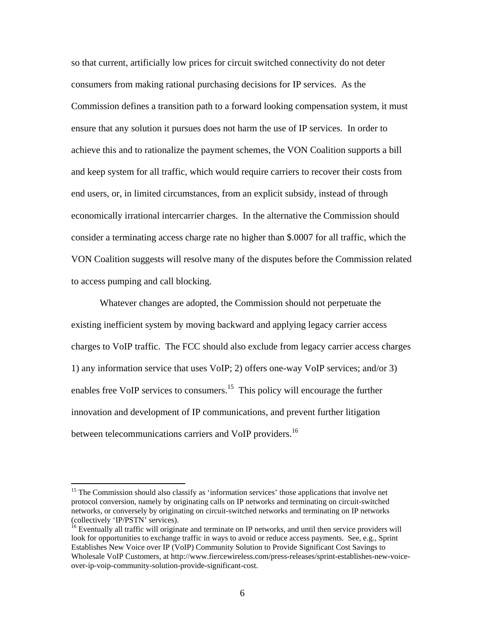so that current, artificially low prices for circuit switched connectivity do not deter consumers from making rational purchasing decisions for IP services. As the Commission defines a transition path to a forward looking compensation system, it must ensure that any solution it pursues does not harm the use of IP services. In order to achieve this and to rationalize the payment schemes, the VON Coalition supports a bill and keep system for all traffic, which would require carriers to recover their costs from end users, or, in limited circumstances, from an explicit subsidy, instead of through economically irrational intercarrier charges. In the alternative the Commission should consider a terminating access charge rate no higher than \$.0007 for all traffic, which the VON Coalition suggests will resolve many of the disputes before the Commission related to access pumping and call blocking.

 Whatever changes are adopted, the Commission should not perpetuate the existing inefficient system by moving backward and applying legacy carrier access charges to VoIP traffic. The FCC should also exclude from legacy carrier access charges 1) any information service that uses VoIP; 2) offers one-way VoIP services; and/or 3) enables free VoIP services to consumers.<sup>15</sup> This policy will encourage the further innovation and development of IP communications, and prevent further litigation between telecommunications carriers and VoIP providers.<sup>16</sup>

<sup>&</sup>lt;sup>15</sup> The Commission should also classify as 'information services' those applications that involve net protocol conversion, namely by originating calls on IP networks and terminating on circuit-switched networks, or conversely by originating on circuit-switched networks and terminating on IP networks (collectively 'IP/PSTN' services).

<sup>&</sup>lt;sup>16</sup> Eventually all traffic will originate and terminate on IP networks, and until then service providers will look for opportunities to exchange traffic in ways to avoid or reduce access payments. See, e.g., Sprint Establishes New Voice over IP (VoIP) Community Solution to Provide Significant Cost Savings to Wholesale VoIP Customers, at http://www.fiercewireless.com/press-releases/sprint-establishes-new-voiceover-ip-voip-community-solution-provide-significant-cost.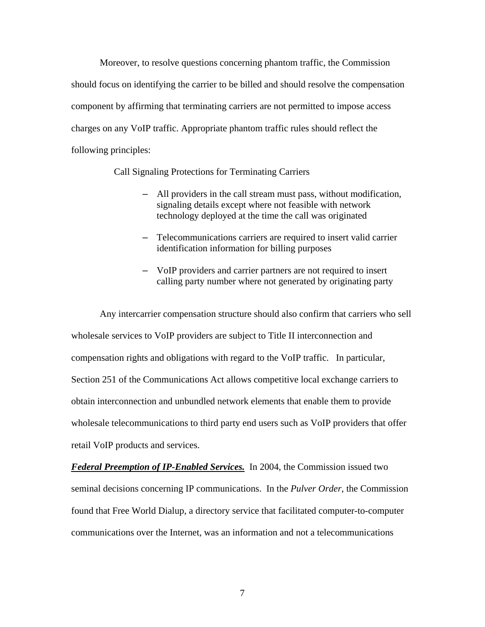Moreover, to resolve questions concerning phantom traffic, the Commission should focus on identifying the carrier to be billed and should resolve the compensation component by affirming that terminating carriers are not permitted to impose access charges on any VoIP traffic. Appropriate phantom traffic rules should reflect the following principles:

Call Signaling Protections for Terminating Carriers

- All providers in the call stream must pass, without modification, signaling details except where not feasible with network technology deployed at the time the call was originated
- Telecommunications carriers are required to insert valid carrier identification information for billing purposes
- VoIP providers and carrier partners are not required to insert calling party number where not generated by originating party

 Any intercarrier compensation structure should also confirm that carriers who sell wholesale services to VoIP providers are subject to Title II interconnection and compensation rights and obligations with regard to the VoIP traffic. In particular, Section 251 of the Communications Act allows competitive local exchange carriers to obtain interconnection and unbundled network elements that enable them to provide wholesale telecommunications to third party end users such as VoIP providers that offer retail VoIP products and services.

*Federal Preemption of IP-Enabled Services.* In 2004, the Commission issued two seminal decisions concerning IP communications. In the *Pulver Order*, the Commission found that Free World Dialup, a directory service that facilitated computer-to-computer communications over the Internet, was an information and not a telecommunications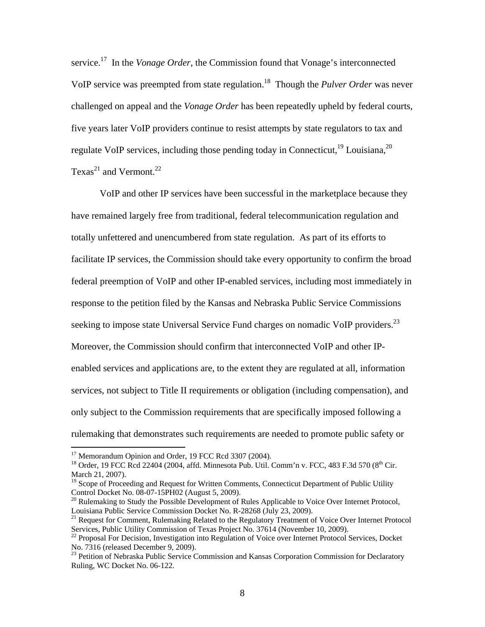service.<sup>17</sup> In the *Vonage Order*, the Commission found that Vonage's interconnected VoIP service was preempted from state regulation.18 Though the *Pulver Order* was never challenged on appeal and the *Vonage Order* has been repeatedly upheld by federal courts, five years later VoIP providers continue to resist attempts by state regulators to tax and regulate VoIP services, including those pending today in Connecticut,  $^{19}$  Louisiana,  $^{20}$ Texas<sup>21</sup> and Vermont.<sup>22</sup>

 VoIP and other IP services have been successful in the marketplace because they have remained largely free from traditional, federal telecommunication regulation and totally unfettered and unencumbered from state regulation. As part of its efforts to facilitate IP services, the Commission should take every opportunity to confirm the broad federal preemption of VoIP and other IP-enabled services, including most immediately in response to the petition filed by the Kansas and Nebraska Public Service Commissions seeking to impose state Universal Service Fund charges on nomadic VoIP providers.<sup>23</sup> Moreover, the Commission should confirm that interconnected VoIP and other IPenabled services and applications are, to the extent they are regulated at all, information services, not subject to Title II requirements or obligation (including compensation), and only subject to the Commission requirements that are specifically imposed following a rulemaking that demonstrates such requirements are needed to promote public safety or

1

<sup>&</sup>lt;sup>17</sup> Memorandum Opinion and Order, 19 FCC Rcd 3307 (2004).

 $^{18}$  Order, 19 FCC Rcd 22404 (2004, affd. Minnesota Pub. Util. Comm'n v. FCC, 483 F.3d 570 (8<sup>th</sup> Cir. March 21, 2007).

<sup>&</sup>lt;sup>19</sup> Scope of Proceeding and Request for Written Comments, Connecticut Department of Public Utility Control Docket No. 08-07-15PH02 (August 5, 2009).

<sup>&</sup>lt;sup>20</sup> Rulemaking to Study the Possible Development of Rules Applicable to Voice Over Internet Protocol, Louisiana Public Service Commission Docket No. R-28268 (July 23, 2009).

<sup>&</sup>lt;sup>21</sup> Request for Comment, Rulemaking Related to the Regulatory Treatment of Voice Over Internet Protocol Services, Public Utility Commission of Texas Project No. 37614 (November 10, 2009).<br><sup>22</sup> Proposal For Decision, Investigation into Regulation of Voice over Internet Protocol Services, Docket

No. 7316 (released December 9, 2009).

<sup>&</sup>lt;sup>23</sup> Petition of Nebraska Public Service Commission and Kansas Corporation Commission for Declaratory Ruling, WC Docket No. 06-122.